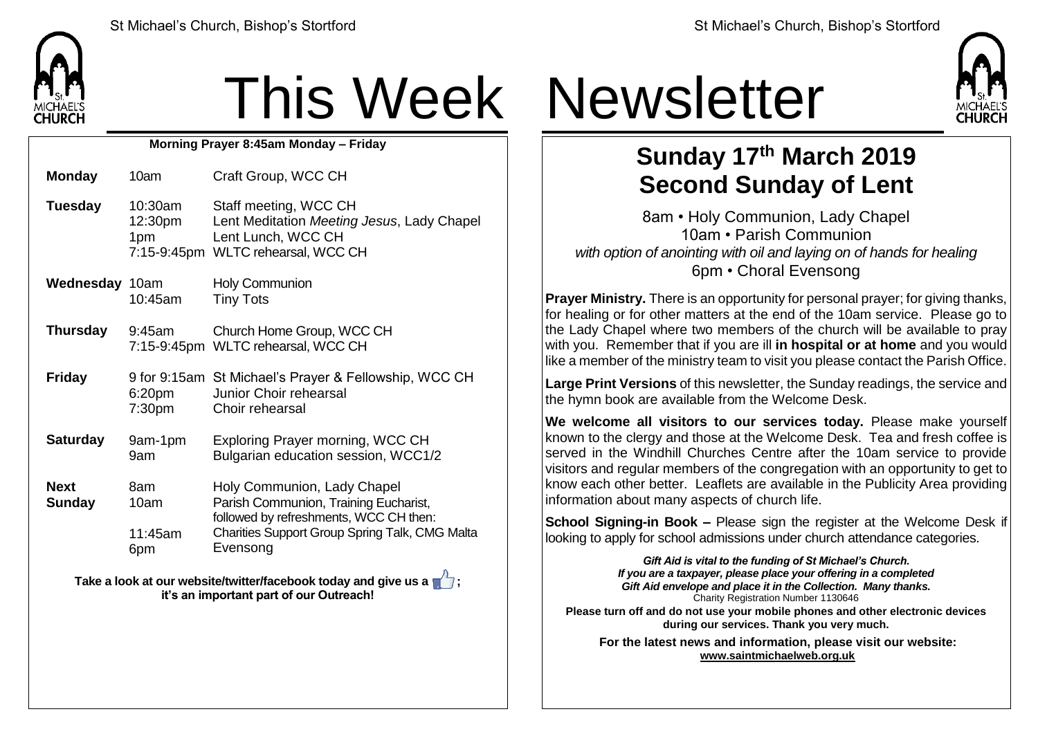

## This Week Newsletter

**Morning Prayer 8:45am Monday – Friday**

**Tuesday** 10:30am 12:30pm 1pm 7:15-9:45pm WLTC rehearsal, WCC CH Staff meeting, WCC CH Lent Meditation *Meeting Jesus*, Lady Chapel Lent Lunch, WCC CH

**Wednesday** 10am 10:45am Holy Communion Tiny Tots

**Monday** 10am Craft Group, WCC CH

- **Thursday** 9:45am 7:15-9:45pm WLTC rehearsal, WCC CH Church Home Group, WCC CH
- **Friday** 9 for 9:15am St Michael's Prayer & Fellowship, WCC CH 6:20pm 7:30pm Junior Choir rehearsal Choir rehearsal
- **Saturday** 9am-1pm 9am Exploring Prayer morning, WCC CH Bulgarian education session, WCC1/2
- **Next Sunday** 8am 10am 11:45am 6pm Holy Communion, Lady Chapel Parish Communion, Training Eucharist, followed by refreshments, WCC CH then: Charities Support Group Spring Talk, CMG Malta Evensong

**Take a look at our website/twitter/facebook today and give us a**  $\mathbb{Z}$ **: it's an important part of our Outreach!**



## **Sunday 17 th March 2019 Second Sunday of Lent**

8am • Holy Communion, Lady Chapel 10am • Parish Communion *with option of anointing with oil and laying on of hands for healing* 6pm • Choral Evensong

**Prayer Ministry.** There is an opportunity for personal prayer; for giving thanks, for healing or for other matters at the end of the 10am service. Please go to the Lady Chapel where two members of the church will be available to pray with you. Remember that if you are ill **in hospital or at home** and you would like a member of the ministry team to visit you please contact the Parish Office.

**Large Print Versions** of this newsletter, the Sunday readings, the service and the hymn book are available from the Welcome Desk.

**We welcome all visitors to our services today.** Please make yourself known to the clergy and those at the Welcome Desk. Tea and fresh coffee is served in the Windhill Churches Centre after the 10am service to provide visitors and regular members of the congregation with an opportunity to get to know each other better. Leaflets are available in the Publicity Area providing information about many aspects of church life.

**School Signing-in Book –** Please sign the register at the Welcome Desk if looking to apply for school admissions under church attendance categories.

*Gift Aid is vital to the funding of St Michael's Church. If you are a taxpayer, please place your offering in a completed Gift Aid envelope and place it in the Collection. Many thanks.* Charity Registration Number 1130646 **Please turn off and do not use your mobile phones and other electronic devices during our services. Thank you very much.**

**For the latest news and information, please visit our website: [www.saintmichaelweb.org.uk](http://www.saintmichaelweb.org.uk/)**